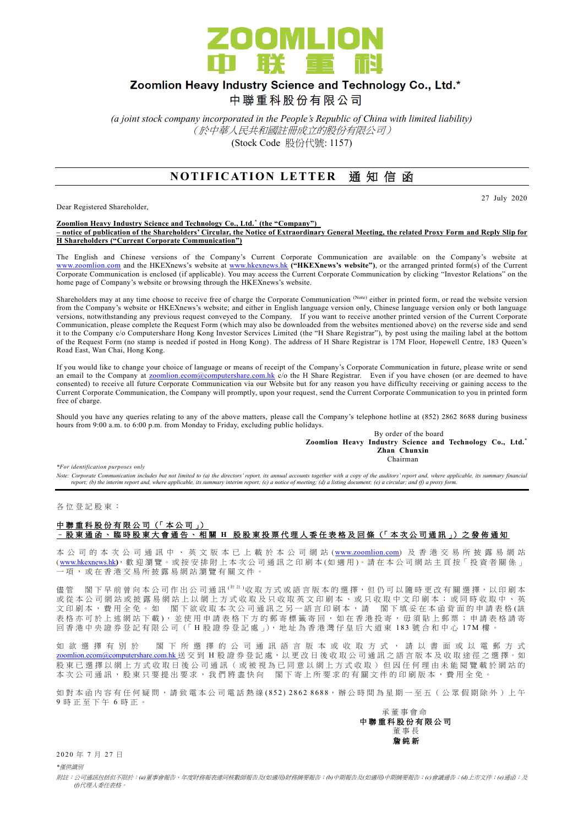

## Zoomlion Heavy Industry Science and Technology Co., Ltd.\*

中聯重科股份有限公司

*(a joint stock company incorporated in the People's Republic of China with limited liability)* (於中華人民共和國註冊成立的股份有限公司) (Stock Code 股份代號: 1157)

## **NOTIFICATION LETTER 通知信函**

Dear Registered Shareholder,

27 July 2020

#### **Zoomlion Heavy Industry Science and Technology Co., Ltd.\* (the "Company") – notice of publication of the Shareholders' Circular, the Notice of Extraordinary General Meeting, the related Proxy Form and Reply Slip for H Shareholders ("Current Corporate Communication")**

The English and Chinese versions of the Company's Current Corporate Communication are available on the Company's website at [www.zoomlion.com](http://www.zoomlion.com/) and the HKEXnews's website at [www.hkexnews.hk](http://www.hkexnews.hk/) **("HKEXnews's website")**, or the arranged printed form(s) of the Current Corporate Communication is enclosed (if applicable). You may access the Current Corporate Communication by clicking "Investor Relations" on the home page of Company's website or browsing through the HKEXnews's website.

Shareholders may at any time choose to receive free of charge the Corporate Communication (Note) either in printed form, or read the website version from the Company's website or HKEXnews's website; and either in English language version only, Chinese language version only or both language versions, notwithstanding any previous request conveyed to the Company. If you want to receive another printed version of the Current Corporate Communication, please complete the Request Form (which may also be downloaded from the websites mentioned above) on the reverse side and send it to the Company c/o Computershare Hong Kong Investor Services Limited (the "H Share Registrar"), by post using the mailing label at the bottom of the Request Form (no stamp is needed if posted in Hong Kong). The address of H Share Registrar is 17M Floor, Hopewell Centre, 183 Queen's Road East, Wan Chai, Hong Kong.

If you would like to change your choice of language or means of receipt of the Company's Corporate Communication in future, please write or send an email to the Company at [zoomlion.ecom@computershare.com.hk](file://///oceania/hongkong/Data/G13GROUP/Project/Zoomlion/eComm/eComm%202013%20Annual/zoomlion.ecom@computershare.com.hk) c/o the H Share Registrar. Even if you have chosen (or are deemed to have consented) to receive all future Corporate Communication via our Website but for any reason you have difficulty receiving or gaining access to the Current Corporate Communication, the Company will promptly, upon your request, send the Current Corporate Communication to you in printed form free of charge.

Should you have any queries relating to any of the above matters, please call the Company's telephone hotline at (852) 2862 8688 during business hours from 9:00 a.m. to 6:00 p.m. from Monday to Friday, excluding public holidays.

By order of the board **Zoomlion Heavy Industry Science and Technology Co., Ltd.\* Zhan Chunxin** Chairman

*\*For identification purposes only* 

*Note: Corporate Communication includes but not limited to (a) the directors' report, its annual accounts together with a copy of the auditors' report and, where applicable, its summary financial report; (b) the interim report and, where applicable, its summary interim report; (c) a notice of meeting; (d) a listing document; (e) a circular; and (f) a proxy form.*

各 位 登 記 股 東 :

### 中聯重科股份有限公司 (「本公司」) – 股東通函、臨時股東大會通告、相關 **H** 股股東投票代理人委任表格及回條 (「 本 次 公司通訊 」) 之 發 佈 通 知

本 公 司 的 本 次 公 司 通 訊 中 、 英 文 版 本 已 上 載 於 本 公 司 網 站 ([www.zoomlion.com](http://www.zoomlion.com/)) 及 香 港 交 易 所 披 露 易 網 站 ( [www.hkexnews.hk](http://www.hkexnews.hk/)**)**, 歡 迎 瀏 覽 。或 按 安 排 附 上 本 次 公 司 通 訊 之印刷本 (如適用 )。 請 在 本 公 司 網 站 主 頁 按「 投 資 者 關 係 」 一項, 或 在 香 港 交 易 所 披 露 易 網 站 瀏 覽 有 關 文 件 。

儘管 閣下 早 前 曾 向 本 公 司 作 出 公 司 通 訊 <sup>( 附 註</sup> )收 取 方 式 或 語 言 版 本 的 選 擇, 但 仍 可 以 隨 時 更 改 有 關 選 擇, 以 印 刷 本 或從本公司網站或披露易網站上以網上方式收取及只收取英文印刷本、或只收取中文印刷本;或同時收取中、英 文印刷本,費用全免。如 閣下欲收取本次公司通訊之另一語言印刷本,請 閣下填妥在本函背面的申請表格(該 表格亦可於上述網站下載), 並使用申請表格下方的郵寄標籤寄回, 如在香港投寄, 毋須貼上郵票; 申請表格請寄 回香港中央證券登記有限公司(「H股證券登記處」), 地址為香港灣仔皇后大道東 183號合和中心 17M 樓

如 欲 選 擇 有 別 於 閣 下 所 選 擇 的 公 司 通 訊 語 言 版 本 或 收 取 方 式 , 請 以 書 面 或 以 電 郵 方 式 [zoomlion.ecom@computershare.com.hk](mailto:zoomlion.ecom@computershare.com.hk) 送 交 到 H 股 證 券 登 記 處, 以 更 改 日 後 收 取 公 司 通 訊 之 語 言 版 本 及 收 取 途 徑 之 選 擇 。 如 股 東 已 選 擇 以 網 上 方 式 收 取 日 後 公 司 通 訊 ( 或 被 視 為 已 同 意 以 網 上 方 式 收 取 ) 但 因 任 何 理 由 未 能 閲 覽 載 於 網 站 的 本次公司通訊,股東只要提出要求,我們將盡快向 閣下寄上所要求的有關文件的印刷版本,費用全免。

如對本函內容有任何疑問,請致電本公司電話熱線(852) 2862 8688,辦公時間為星期一至五 (公眾假期除外)上午 9 時正至下午 6 時 正 。

承董事會命 中 聯 重 科 股 份 有 限 公 司 董事長 詹 純 新

2020 年 7 月 27 日

*\**僅供識別

附註:公司通訊包括但不限於:*(a)*董事會報告、年度財務報表連同核數師報告及*(*如適用*)*財務摘要報告;*(b)*中期報告及*(*如適用*)*中期摘要報告;*(c)*會議通告;*(d)*上市文件;*(e)*通函;及 *(f)*代理人委任表格。